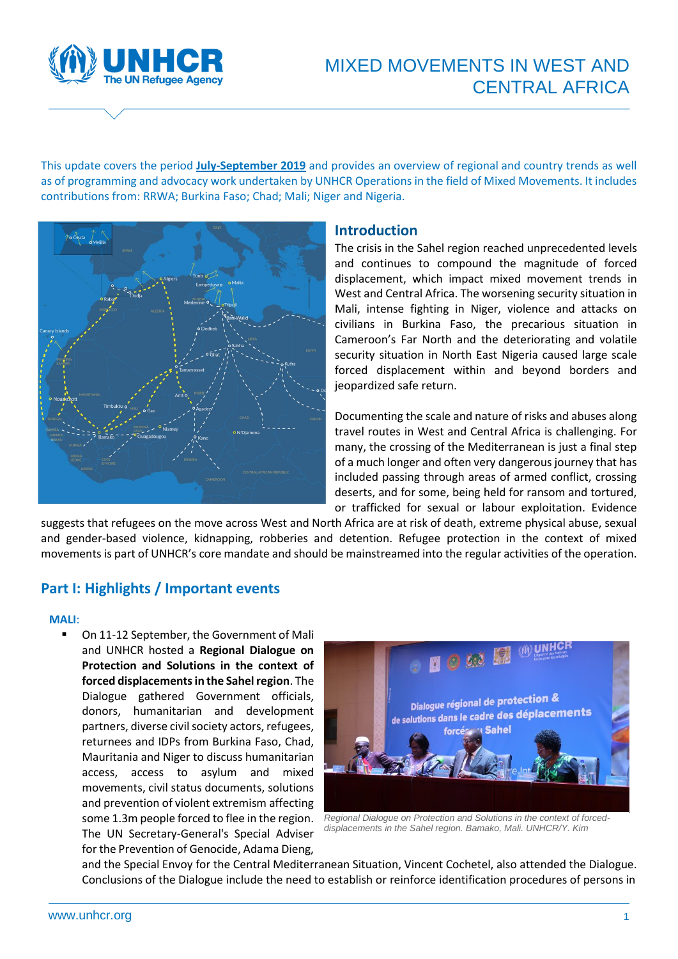

# MIXED MOVEMENTS IN WEST AND CENTRAL AFRICA

This update covers the period **July-September 2019** and provides an overview of regional and country trends as well as of programming and advocacy work undertaken by UNHCR Operations in the field of Mixed Movements. It includes contributions from: RRWA; Burkina Faso; Chad; Mali; Niger and Nigeria.



### **Introduction**

The crisis in the Sahel region reached unprecedented levels and continues to compound the magnitude of forced displacement, which impact mixed movement trends in West and Central Africa. The worsening security situation in Mali, intense fighting in Niger, violence and attacks on civilians in Burkina Faso, the precarious situation in Cameroon's Far North and the deteriorating and volatile security situation in North East Nigeria caused large scale forced displacement within and beyond borders and jeopardized safe return.

Documenting the scale and nature of risks and abuses along travel routes in West and Central Africa is challenging. For many, the crossing of the Mediterranean is just a final step of a much longer and often very dangerous journey that has included passing through areas of armed conflict, crossing deserts, and for some, being held for ransom and tortured, or trafficked for sexual or labour exploitation. Evidence

suggests that refugees on the move across West and North Africa are at risk of death, extreme physical abuse, sexual and gender-based violence, kidnapping, robberies and detention. Refugee protection in the context of mixed movements is part of UNHCR's core mandate and should be mainstreamed into the regular activities of the operation.

## **Part I: Highlights / Important events**

### **MALI**:

On 11-12 September, the Government of Mali and UNHCR hosted a **Regional Dialogue on Protection and Solutions in the context of forced displacements in the Sahel region**. The Dialogue gathered Government officials, donors, humanitarian and development partners, diverse civil society actors, refugees, returnees and IDPs from Burkina Faso, Chad, Mauritania and Niger to discuss humanitarian access, access to asylum and mixed movements, civil status documents, solutions and prevention of violent extremism affecting some 1.3m people forced to flee in the region. The UN Secretary-General's Special Adviser for the Prevention of Genocide, Adama Dieng,



*Regional Dialogue on Protection and Solutions in the context of forceddisplacements in the Sahel region. Bamako, Mali. UNHCR/Y. Kim*

and the Special Envoy for the Central Mediterranean Situation, Vincent Cochetel, also attended the Dialogue. Conclusions of the Dialogue include the need to establish or reinforce identification procedures of persons in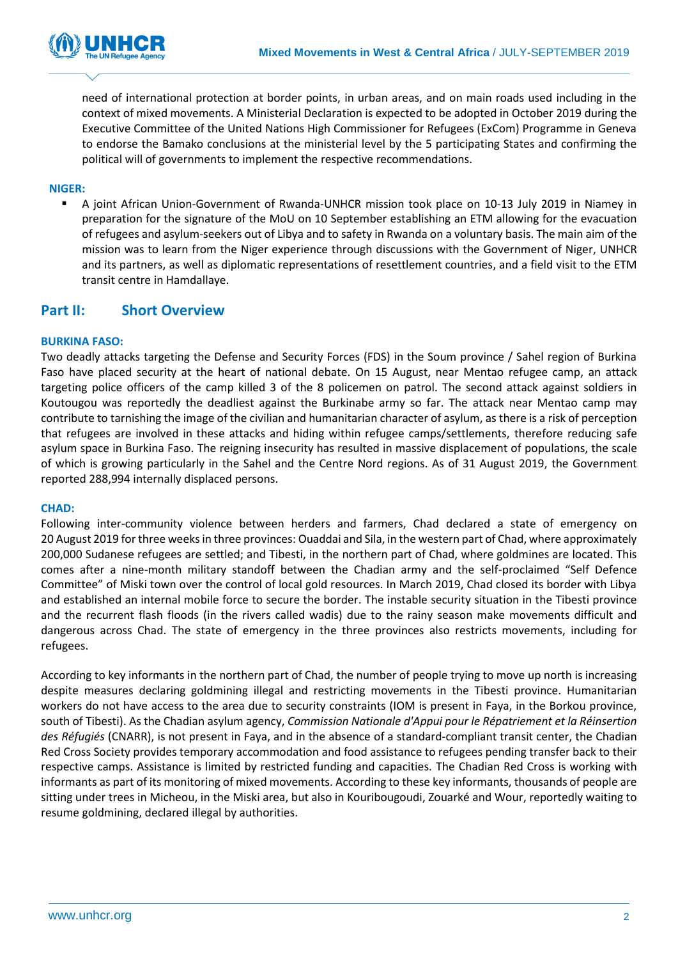

need of international protection at border points, in urban areas, and on main roads used including in the context of mixed movements. A Ministerial Declaration is expected to be adopted in October 2019 during the Executive Committee of the United Nations High Commissioner for Refugees (ExCom) Programme in Geneva to endorse the Bamako conclusions at the ministerial level by the 5 participating States and confirming the political will of governments to implement the respective recommendations.

### **NIGER:**

▪ A joint African Union-Government of Rwanda-UNHCR mission took place on 10-13 July 2019 in Niamey in preparation for the signature of the MoU on 10 September establishing an ETM allowing for the evacuation of refugees and asylum-seekers out of Libya and to safety in Rwanda on a voluntary basis. The main aim of the mission was to learn from the Niger experience through discussions with the Government of Niger, UNHCR and its partners, as well as diplomatic representations of resettlement countries, and a field visit to the ETM transit centre in Hamdallaye.

### **Part II: Short Overview**

### **BURKINA FASO:**

Two deadly attacks targeting the Defense and Security Forces (FDS) in the Soum province / Sahel region of Burkina Faso have placed security at the heart of national debate. On 15 August, near Mentao refugee camp, an attack targeting police officers of the camp killed 3 of the 8 policemen on patrol. The second attack against soldiers in Koutougou was reportedly the deadliest against the Burkinabe army so far. The attack near Mentao camp may contribute to tarnishing the image of the civilian and humanitarian character of asylum, as there is a risk of perception that refugees are involved in these attacks and hiding within refugee camps/settlements, therefore reducing safe asylum space in Burkina Faso. The reigning insecurity has resulted in massive displacement of populations, the scale of which is growing particularly in the Sahel and the Centre Nord regions. As of 31 August 2019, the Government reported 288,994 internally displaced persons.

#### **CHAD:**

Following inter-community violence between herders and farmers, Chad declared a state of emergency on 20 August 2019 for three weeks in three provinces: Ouaddai and Sila, in the western part of Chad, where approximately 200,000 Sudanese refugees are settled; and Tibesti, in the northern part of Chad, where goldmines are located. This comes after a nine-month military standoff between the Chadian army and the self-proclaimed "Self Defence Committee" of Miski town over the control of local gold resources. In March 2019, Chad closed its border with Libya and established an internal mobile force to secure the border. The instable security situation in the Tibesti province and the recurrent flash floods (in the rivers called wadis) due to the rainy season make movements difficult and dangerous across Chad. The state of emergency in the three provinces also restricts movements, including for refugees.

According to key informants in the northern part of Chad, the number of people trying to move up north is increasing despite measures declaring goldmining illegal and restricting movements in the Tibesti province. Humanitarian workers do not have access to the area due to security constraints (IOM is present in Faya, in the Borkou province, south of Tibesti). As the Chadian asylum agency, *Commission Nationale d'Appui pour le Répatriement et la Réinsertion des Réfugiés* (CNARR), is not present in Faya, and in the absence of a standard-compliant transit center, the Chadian Red Cross Society provides temporary accommodation and food assistance to refugees pending transfer back to their respective camps. Assistance is limited by restricted funding and capacities. The Chadian Red Cross is working with informants as part of its monitoring of mixed movements. According to these key informants, thousands of people are sitting under trees in Micheou, in the Miski area, but also in Kouribougoudi, Zouarké and Wour, reportedly waiting to resume goldmining, declared illegal by authorities.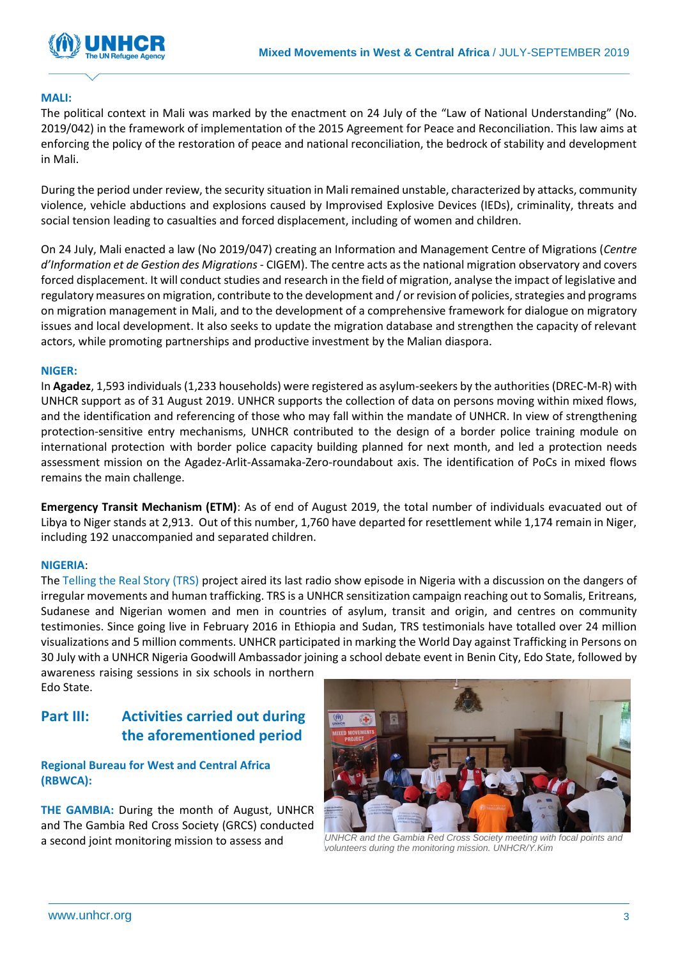

### **MALI:**

The political context in Mali was marked by the enactment on 24 July of the "Law of National Understanding" (No. 2019/042) in the framework of implementation of the 2015 Agreement for Peace and Reconciliation. This law aims at enforcing the policy of the restoration of peace and national reconciliation, the bedrock of stability and development in Mali.

During the period under review, the security situation in Mali remained unstable, characterized by attacks, community violence, vehicle abductions and explosions caused by Improvised Explosive Devices (IEDs), criminality, threats and social tension leading to casualties and forced displacement, including of women and children.

On 24 July, Mali enacted a law (No 2019/047) creating an Information and Management Centre of Migrations (*Centre d'Information et de Gestion des Migrations* - CIGEM). The centre acts as the national migration observatory and covers forced displacement. It will conduct studies and research in the field of migration, analyse the impact of legislative and regulatory measures on migration, contribute to the development and / or revision of policies, strategies and programs on migration management in Mali, and to the development of a comprehensive framework for dialogue on migratory issues and local development. It also seeks to update the migration database and strengthen the capacity of relevant actors, while promoting partnerships and productive investment by the Malian diaspora.

### **NIGER:**

In **Agadez**, 1,593 individuals (1,233 households) were registered as asylum-seekers by the authorities (DREC-M-R) with UNHCR support as of 31 August 2019. UNHCR supports the collection of data on persons moving within mixed flows, and the identification and referencing of those who may fall within the mandate of UNHCR. In view of strengthening protection-sensitive entry mechanisms, UNHCR contributed to the design of a border police training module on international protection with border police capacity building planned for next month, and led a protection needs assessment mission on the Agadez-Arlit-Assamaka-Zero-roundabout axis. The identification of PoCs in mixed flows remains the main challenge.

**Emergency Transit Mechanism (ETM)**: As of end of August 2019, the total number of individuals evacuated out of Libya to Niger stands at 2,913. Out of this number, 1,760 have departed for resettlement while 1,174 remain in Niger, including 192 unaccompanied and separated children.

### **NIGERIA**:

The [Telling the Real Story \(TRS\)](http://tellingtherealstory.org/) project aired its last radio show episode in Nigeria with a discussion on the dangers of irregular movements and human trafficking. TRS is a UNHCR sensitization campaign reaching out to Somalis, Eritreans, Sudanese and Nigerian women and men in countries of asylum, transit and origin, and centres on community testimonies. Since going live in February 2016 in Ethiopia and Sudan, TRS testimonials have totalled over 24 million visualizations and 5 million comments. UNHCR participated in marking the World Day against Trafficking in Persons on 30 July with a UNHCR Nigeria Goodwill Ambassador joining a school debate event in Benin City, Edo State, followed by awareness raising sessions in six schools in northern

Edo State.

## **Part III: Activities carried out during the aforementioned period**

**Regional Bureau for West and Central Africa (RBWCA):**

**THE GAMBIA:** During the month of August, UNHCR and The Gambia Red Cross Society (GRCS) conducted



a second joint monitoring mission to assess and *UNHCR and the Gambia Red Cross Society meeting with focal points and volunteers during the monitoring mission. UNHCR/Y.Kim*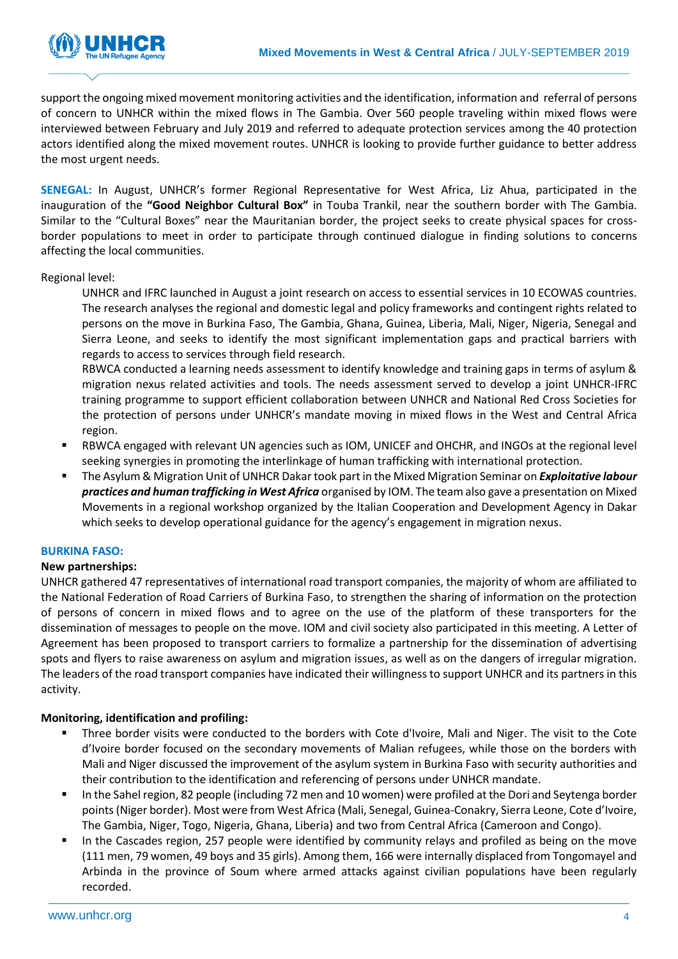

support the ongoing mixed movement monitoring activities and the identification, information and referral of persons of concern to UNHCR within the mixed flows in The Gambia. Over 560 people traveling within mixed flows were interviewed between February and July 2019 and referred to adequate protection services among the 40 protection actors identified along the mixed movement routes. UNHCR is looking to provide further guidance to better address the most urgent needs.

**SENEGAL:** In August, UNHCR's former Regional Representative for West Africa, Liz Ahua, participated in the inauguration of the **"Good Neighbor Cultural Box"** in Touba Trankil, near the southern border with The Gambia. Similar to the "Cultural Boxes" near the Mauritanian border, the project seeks to create physical spaces for crossborder populations to meet in order to participate through continued dialogue in finding solutions to concerns affecting the local communities.

### Regional level:

UNHCR and IFRC launched in August a joint research on access to essential services in 10 ECOWAS countries. The research analyses the regional and domestic legal and policy frameworks and contingent rights related to persons on the move in Burkina Faso, The Gambia, Ghana, Guinea, Liberia, Mali, Niger, Nigeria, Senegal and Sierra Leone, and seeks to identify the most significant implementation gaps and practical barriers with regards to access to services through field research.

RBWCA conducted a learning needs assessment to identify knowledge and training gaps in terms of asylum & migration nexus related activities and tools. The needs assessment served to develop a joint UNHCR-IFRC training programme to support efficient collaboration between UNHCR and National Red Cross Societies for the protection of persons under UNHCR's mandate moving in mixed flows in the West and Central Africa region.

- RBWCA engaged with relevant UN agencies such as IOM, UNICEF and OHCHR, and INGOs at the regional level seeking synergies in promoting the interlinkage of human trafficking with international protection.
- The Asylum & Migration Unit of UNHCR Dakar took part in the Mixed Migration Seminar on *Exploitative labour practices and human trafficking in West Africa* organised by IOM. The team also gave a presentation on Mixed Movements in a regional workshop organized by the Italian Cooperation and Development Agency in Dakar which seeks to develop operational guidance for the agency's engagement in migration nexus.

### **BURKINA FASO:**

### **New partnerships:**

UNHCR gathered 47 representatives of international road transport companies, the majority of whom are affiliated to the National Federation of Road Carriers of Burkina Faso, to strengthen the sharing of information on the protection of persons of concern in mixed flows and to agree on the use of the platform of these transporters for the dissemination of messages to people on the move. IOM and civil society also participated in this meeting. A Letter of Agreement has been proposed to transport carriers to formalize a partnership for the dissemination of advertising spots and flyers to raise awareness on asylum and migration issues, as well as on the dangers of irregular migration. The leaders of the road transport companies have indicated their willingness to support UNHCR and its partners in this activity.

### **Monitoring, identification and profiling:**

- Three border visits were conducted to the borders with Cote d'Ivoire, Mali and Niger. The visit to the Cote d'Ivoire border focused on the secondary movements of Malian refugees, while those on the borders with Mali and Niger discussed the improvement of the asylum system in Burkina Faso with security authorities and their contribution to the identification and referencing of persons under UNHCR mandate.
- In the Sahel region, 82 people (including 72 men and 10 women) were profiled at the Dori and Seytenga border points (Niger border). Most were from West Africa (Mali, Senegal, Guinea-Conakry, Sierra Leone, Cote d'Ivoire, The Gambia, Niger, Togo, Nigeria, Ghana, Liberia) and two from Central Africa (Cameroon and Congo).
- In the Cascades region, 257 people were identified by community relays and profiled as being on the move (111 men, 79 women, 49 boys and 35 girls). Among them, 166 were internally displaced from Tongomayel and Arbinda in the province of Soum where armed attacks against civilian populations have been regularly recorded.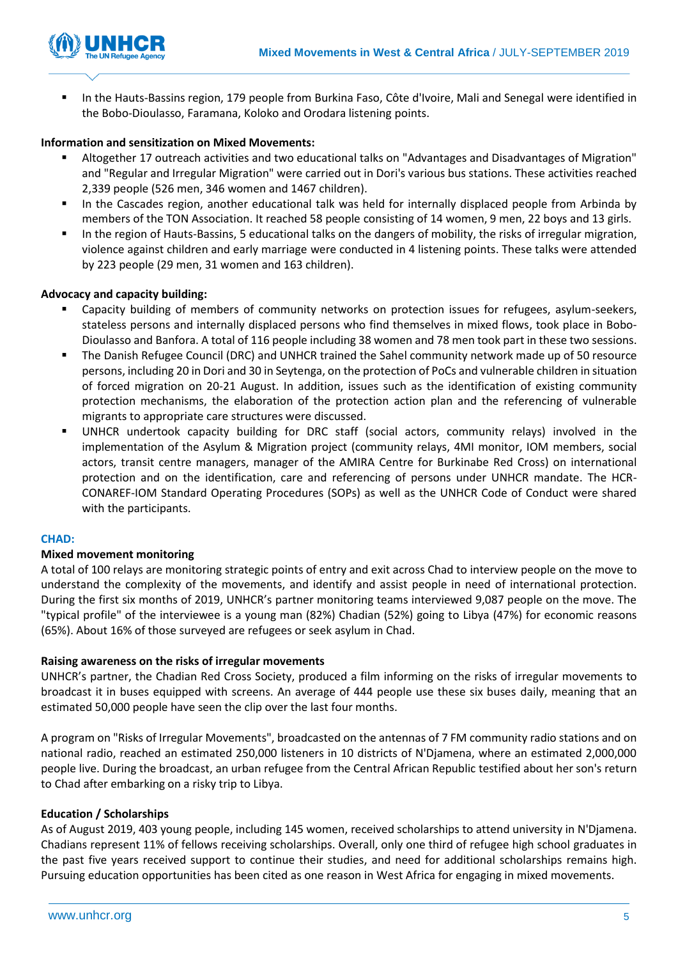

▪ In the Hauts-Bassins region, 179 people from Burkina Faso, Côte d'Ivoire, Mali and Senegal were identified in the Bobo-Dioulasso, Faramana, Koloko and Orodara listening points.

### **Information and sensitization on Mixed Movements:**

- Altogether 17 outreach activities and two educational talks on "Advantages and Disadvantages of Migration" and "Regular and Irregular Migration" were carried out in Dori's various bus stations. These activities reached 2,339 people (526 men, 346 women and 1467 children).
- In the Cascades region, another educational talk was held for internally displaced people from Arbinda by members of the TON Association. It reached 58 people consisting of 14 women, 9 men, 22 boys and 13 girls.
- In the region of Hauts-Bassins, 5 educational talks on the dangers of mobility, the risks of irregular migration, violence against children and early marriage were conducted in 4 listening points. These talks were attended by 223 people (29 men, 31 women and 163 children).

### **Advocacy and capacity building:**

- Capacity building of members of community networks on protection issues for refugees, asylum-seekers, stateless persons and internally displaced persons who find themselves in mixed flows, took place in Bobo-Dioulasso and Banfora. A total of 116 people including 38 women and 78 men took part in these two sessions.
- The Danish Refugee Council (DRC) and UNHCR trained the Sahel community network made up of 50 resource persons, including 20 in Dori and 30 in Seytenga, on the protection of PoCs and vulnerable children in situation of forced migration on 20-21 August. In addition, issues such as the identification of existing community protection mechanisms, the elaboration of the protection action plan and the referencing of vulnerable migrants to appropriate care structures were discussed.
- UNHCR undertook capacity building for DRC staff (social actors, community relays) involved in the implementation of the Asylum & Migration project (community relays, 4MI monitor, IOM members, social actors, transit centre managers, manager of the AMIRA Centre for Burkinabe Red Cross) on international protection and on the identification, care and referencing of persons under UNHCR mandate. The HCR-CONAREF-IOM Standard Operating Procedures (SOPs) as well as the UNHCR Code of Conduct were shared with the participants.

### **CHAD:**

### **Mixed movement monitoring**

A total of 100 relays are monitoring strategic points of entry and exit across Chad to interview people on the move to understand the complexity of the movements, and identify and assist people in need of international protection. During the first six months of 2019, UNHCR's partner monitoring teams interviewed 9,087 people on the move. The "typical profile" of the interviewee is a young man (82%) Chadian (52%) going to Libya (47%) for economic reasons (65%). About 16% of those surveyed are refugees or seek asylum in Chad.

### **Raising awareness on the risks of irregular movements**

UNHCR's partner, the Chadian Red Cross Society, produced a film informing on the risks of irregular movements to broadcast it in buses equipped with screens. An average of 444 people use these six buses daily, meaning that an estimated 50,000 people have seen the clip over the last four months.

A program on "Risks of Irregular Movements", broadcasted on the antennas of 7 FM community radio stations and on national radio, reached an estimated 250,000 listeners in 10 districts of N'Djamena, where an estimated 2,000,000 people live. During the broadcast, an urban refugee from the Central African Republic testified about her son's return to Chad after embarking on a risky trip to Libya.

### **Education / Scholarships**

As of August 2019, 403 young people, including 145 women, received scholarships to attend university in N'Djamena. Chadians represent 11% of fellows receiving scholarships. Overall, only one third of refugee high school graduates in the past five years received support to continue their studies, and need for additional scholarships remains high. Pursuing education opportunities has been cited as one reason in West Africa for engaging in mixed movements.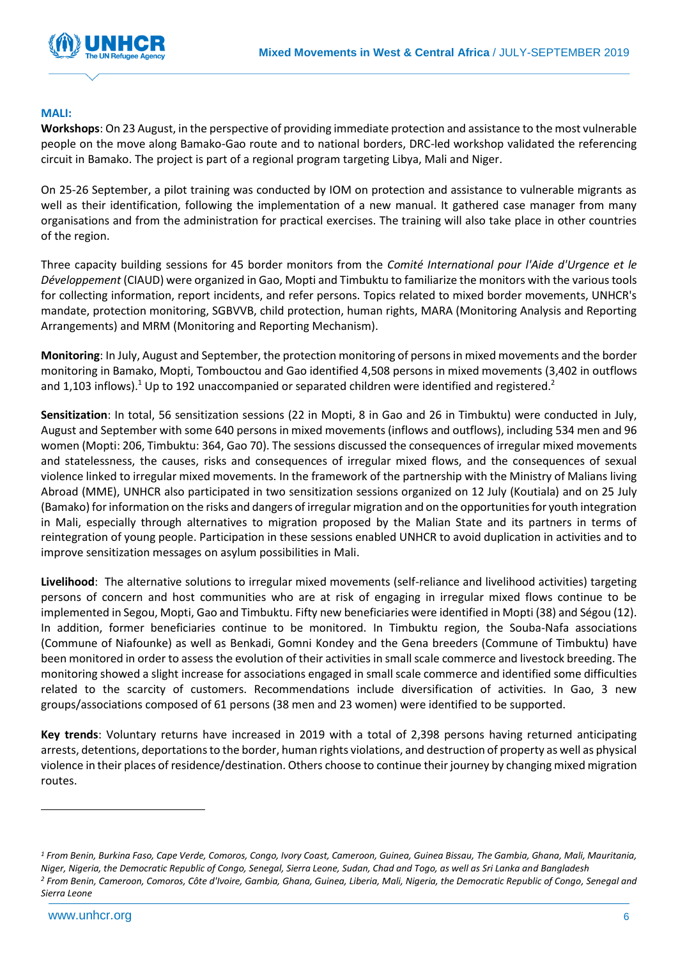

### **MALI:**

**Workshops**: On 23 August, in the perspective of providing immediate protection and assistance to the most vulnerable people on the move along Bamako-Gao route and to national borders, DRC-led workshop validated the referencing circuit in Bamako. The project is part of a regional program targeting Libya, Mali and Niger.

On 25-26 September, a pilot training was conducted by IOM on protection and assistance to vulnerable migrants as well as their identification, following the implementation of a new manual. It gathered case manager from many organisations and from the administration for practical exercises. The training will also take place in other countries of the region.

Three capacity building sessions for 45 border monitors from the *Comité International pour l'Aide d'Urgence et le Développement* (CIAUD) were organized in Gao, Mopti and Timbuktu to familiarize the monitors with the various tools for collecting information, report incidents, and refer persons. Topics related to mixed border movements, UNHCR's mandate, protection monitoring, SGBVVB, child protection, human rights, MARA (Monitoring Analysis and Reporting Arrangements) and MRM (Monitoring and Reporting Mechanism).

**Monitoring**: In July, August and September, the protection monitoring of persons in mixed movements and the border monitoring in Bamako, Mopti, Tombouctou and Gao identified 4,508 persons in mixed movements (3,402 in outflows and 1,103 inflows).<sup>1</sup> Up to 192 unaccompanied or separated children were identified and registered.<sup>2</sup>

**Sensitization**: In total, 56 sensitization sessions (22 in Mopti, 8 in Gao and 26 in Timbuktu) were conducted in July, August and September with some 640 persons in mixed movements (inflows and outflows), including 534 men and 96 women (Mopti: 206, Timbuktu: 364, Gao 70). The sessions discussed the consequences of irregular mixed movements and statelessness, the causes, risks and consequences of irregular mixed flows, and the consequences of sexual violence linked to irregular mixed movements. In the framework of the partnership with the Ministry of Malians living Abroad (MME), UNHCR also participated in two sensitization sessions organized on 12 July (Koutiala) and on 25 July (Bamako) for information on the risks and dangers of irregular migration and on the opportunities for youth integration in Mali, especially through alternatives to migration proposed by the Malian State and its partners in terms of reintegration of young people. Participation in these sessions enabled UNHCR to avoid duplication in activities and to improve sensitization messages on asylum possibilities in Mali.

**Livelihood**: The alternative solutions to irregular mixed movements (self-reliance and livelihood activities) targeting persons of concern and host communities who are at risk of engaging in irregular mixed flows continue to be implemented in Segou, Mopti, Gao and Timbuktu. Fifty new beneficiaries were identified in Mopti (38) and Ségou (12). In addition, former beneficiaries continue to be monitored. In Timbuktu region, the Souba-Nafa associations (Commune of Niafounke) as well as Benkadi, Gomni Kondey and the Gena breeders (Commune of Timbuktu) have been monitored in order to assess the evolution of their activities in small scale commerce and livestock breeding. The monitoring showed a slight increase for associations engaged in small scale commerce and identified some difficulties related to the scarcity of customers. Recommendations include diversification of activities. In Gao, 3 new groups/associations composed of 61 persons (38 men and 23 women) were identified to be supported.

**Key trends**: Voluntary returns have increased in 2019 with a total of 2,398 persons having returned anticipating arrests, detentions, deportations to the border, human rights violations, and destruction of property as well as physical violence in their places of residence/destination. Others choose to continue their journey by changing mixed migration routes.

-

*<sup>1</sup> From Benin, Burkina Faso, Cape Verde, Comoros, Congo, Ivory Coast, Cameroon, Guinea, Guinea Bissau, The Gambia, Ghana, Mali, Mauritania, Niger, Nigeria, the Democratic Republic of Congo, Senegal, Sierra Leone, Sudan, Chad and Togo, as well as Sri Lanka and Bangladesh <sup>2</sup> From Benin, Cameroon, Comoros, Côte d'Ivoire, Gambia, Ghana, Guinea, Liberia, Mali, Nigeria, the Democratic Republic of Congo, Senegal and Sierra Leone*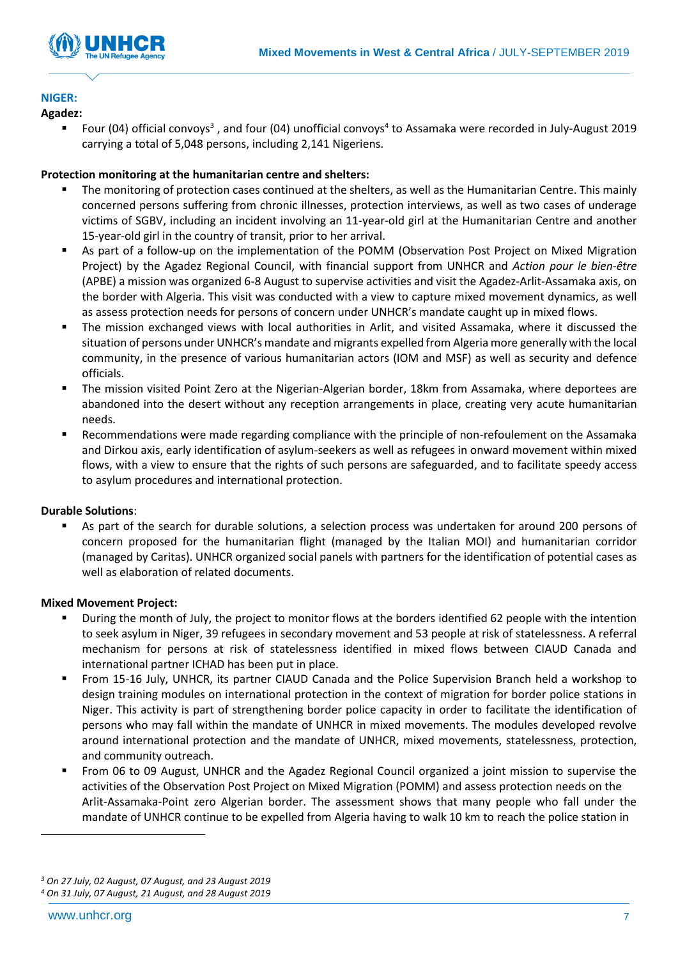

# **NIGER:**

### **Agadez:**

■ Four (04) official convoys<sup>3</sup>, and four (04) unofficial convoys<sup>4</sup> to Assamaka were recorded in July-August 2019 carrying a total of 5,048 persons, including 2,141 Nigeriens.

### **Protection monitoring at the humanitarian centre and shelters:**

- The monitoring of protection cases continued at the shelters, as well as the Humanitarian Centre. This mainly concerned persons suffering from chronic illnesses, protection interviews, as well as two cases of underage victims of SGBV, including an incident involving an 11-year-old girl at the Humanitarian Centre and another 15-year-old girl in the country of transit, prior to her arrival.
- As part of a follow-up on the implementation of the POMM (Observation Post Project on Mixed Migration Project) by the Agadez Regional Council, with financial support from UNHCR and *Action pour le bien-être* (APBE) a mission was organized 6-8 August to supervise activities and visit the Agadez-Arlit-Assamaka axis, on the border with Algeria. This visit was conducted with a view to capture mixed movement dynamics, as well as assess protection needs for persons of concern under UNHCR's mandate caught up in mixed flows.
- The mission exchanged views with local authorities in Arlit, and visited Assamaka, where it discussed the situation of persons under UNHCR's mandate and migrants expelled from Algeria more generally with the local community, in the presence of various humanitarian actors (IOM and MSF) as well as security and defence officials.
- The mission visited Point Zero at the Nigerian-Algerian border, 18km from Assamaka, where deportees are abandoned into the desert without any reception arrangements in place, creating very acute humanitarian needs.
- Recommendations were made regarding compliance with the principle of non-refoulement on the Assamaka and Dirkou axis, early identification of asylum-seekers as well as refugees in onward movement within mixed flows, with a view to ensure that the rights of such persons are safeguarded, and to facilitate speedy access to asylum procedures and international protection.

### **Durable Solutions**:

As part of the search for durable solutions, a selection process was undertaken for around 200 persons of concern proposed for the humanitarian flight (managed by the Italian MOI) and humanitarian corridor (managed by Caritas). UNHCR organized social panels with partners for the identification of potential cases as well as elaboration of related documents.

### **Mixed Movement Project:**

- During the month of July, the project to monitor flows at the borders identified 62 people with the intention to seek asylum in Niger, 39 refugees in secondary movement and 53 people at risk of statelessness. A referral mechanism for persons at risk of statelessness identified in mixed flows between CIAUD Canada and international partner ICHAD has been put in place.
- From 15-16 July, UNHCR, its partner CIAUD Canada and the Police Supervision Branch held a workshop to design training modules on international protection in the context of migration for border police stations in Niger. This activity is part of strengthening border police capacity in order to facilitate the identification of persons who may fall within the mandate of UNHCR in mixed movements. The modules developed revolve around international protection and the mandate of UNHCR, mixed movements, statelessness, protection, and community outreach.
- From 06 to 09 August, UNHCR and the Agadez Regional Council organized a joint mission to supervise the activities of the Observation Post Project on Mixed Migration (POMM) and assess protection needs on the Arlit-Assamaka-Point zero Algerian border. The assessment shows that many people who fall under the mandate of UNHCR continue to be expelled from Algeria having to walk 10 km to reach the police station in

-

*<sup>3</sup> On 27 July, 02 August, 07 August, and 23 August 2019*

*<sup>4</sup> On 31 July, 07 August, 21 August, and 28 August 2019*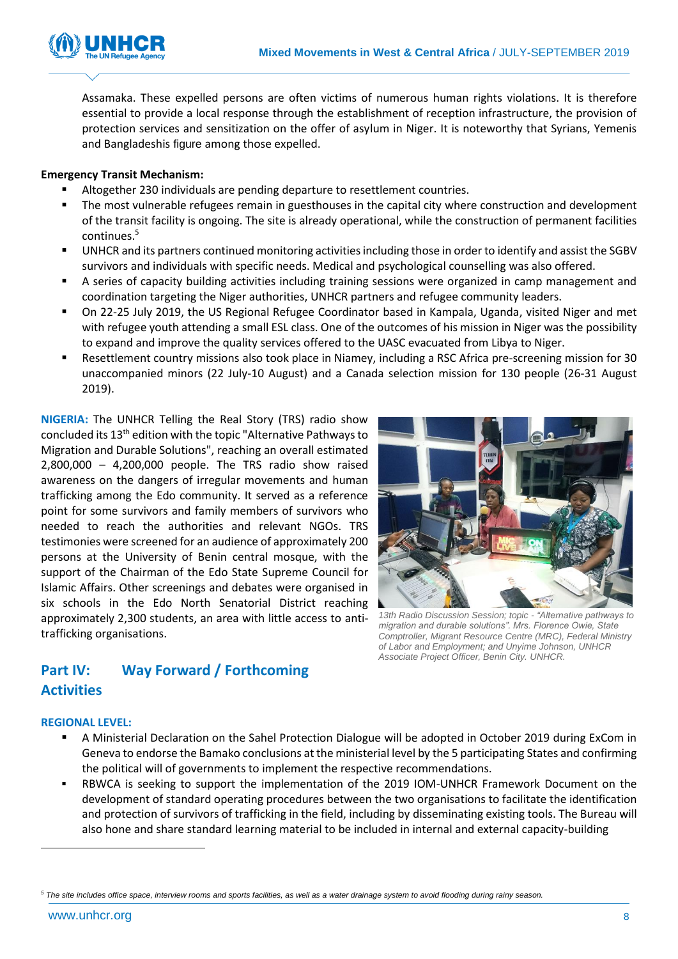

Assamaka. These expelled persons are often victims of numerous human rights violations. It is therefore essential to provide a local response through the establishment of reception infrastructure, the provision of protection services and sensitization on the offer of asylum in Niger. It is noteworthy that Syrians, Yemenis and Bangladeshis figure among those expelled.

### **Emergency Transit Mechanism:**

- Altogether 230 individuals are pending departure to resettlement countries.
- The most vulnerable refugees remain in guesthouses in the capital city where construction and development of the transit facility is ongoing. The site is already operational, while the construction of permanent facilities continues.<sup>5</sup>
- UNHCR and its partners continued monitoring activities including those in order to identify and assist the SGBV survivors and individuals with specific needs. Medical and psychological counselling was also offered.
- A series of capacity building activities including training sessions were organized in camp management and coordination targeting the Niger authorities, UNHCR partners and refugee community leaders.
- On 22-25 July 2019, the US Regional Refugee Coordinator based in Kampala, Uganda, visited Niger and met with refugee youth attending a small ESL class. One of the outcomes of his mission in Niger was the possibility to expand and improve the quality services offered to the UASC evacuated from Libya to Niger.
- Resettlement country missions also took place in Niamey, including a RSC Africa pre-screening mission for 30 unaccompanied minors (22 July-10 August) and a Canada selection mission for 130 people (26-31 August 2019).

**NIGERIA:** The UNHCR Telling the Real Story (TRS) radio show concluded its 13th edition with the topic "Alternative Pathways to Migration and Durable Solutions", reaching an overall estimated 2,800,000 – 4,200,000 people. The TRS radio show raised awareness on the dangers of irregular movements and human trafficking among the Edo community. It served as a reference point for some survivors and family members of survivors who needed to reach the authorities and relevant NGOs. TRS testimonies were screened for an audience of approximately 200 persons at the University of Benin central mosque, with the support of the Chairman of the Edo State Supreme Council for Islamic Affairs. Other screenings and debates were organised in six schools in the Edo North Senatorial District reaching approximately 2,300 students, an area with little access to antitrafficking organisations.



*13th Radio Discussion Session; topic - "Alternative pathways to migration and durable solutions". Mrs. Florence Owie, State Comptroller, Migrant Resource Centre (MRC), Federal Ministry of Labor and Employment; and Unyime Johnson, UNHCR Associate Project Officer, Benin City. UNHCR.*

## **Part IV: Way Forward / Forthcoming Activities**

### **REGIONAL LEVEL:**

- A Ministerial Declaration on the Sahel Protection Dialogue will be adopted in October 2019 during ExCom in Geneva to endorse the Bamako conclusions at the ministerial level by the 5 participating States and confirming the political will of governments to implement the respective recommendations.
- RBWCA is seeking to support the implementation of the 2019 IOM-UNHCR Framework Document on the development of standard operating procedures between the two organisations to facilitate the identification and protection of survivors of trafficking in the field, including by disseminating existing tools. The Bureau will also hone and share standard learning material to be included in internal and external capacity-building

-

*<sup>5</sup> The site includes office space, interview rooms and sports facilities, as well as a water drainage system to avoid flooding during rainy season.*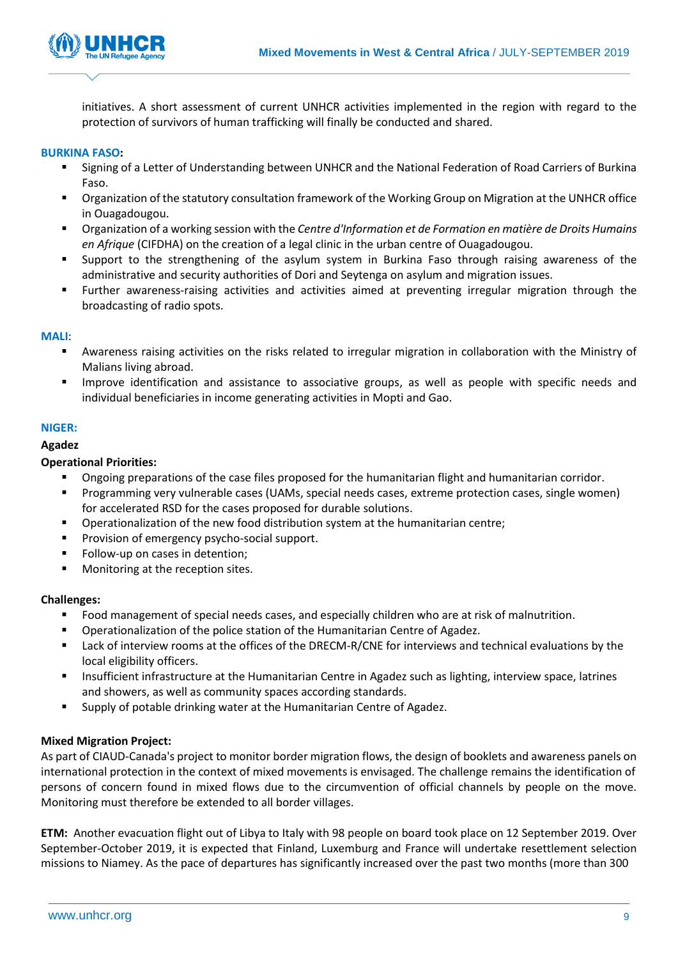

initiatives. A short assessment of current UNHCR activities implemented in the region with regard to the protection of survivors of human trafficking will finally be conducted and shared.

### **BURKINA FASO:**

- Signing of a Letter of Understanding between UNHCR and the National Federation of Road Carriers of Burkina Faso.
- Organization of the statutory consultation framework of the Working Group on Migration at the UNHCR office in Ouagadougou.
- Organization of a working session with the *Centre d'Information et de Formation en matière de Droits Humains en Afrique* (CIFDHA) on the creation of a legal clinic in the urban centre of Ouagadougou.
- Support to the strengthening of the asylum system in Burkina Faso through raising awareness of the administrative and security authorities of Dori and Seytenga on asylum and migration issues.
- Further awareness-raising activities and activities aimed at preventing irregular migration through the broadcasting of radio spots.

### **MALI**:

- Awareness raising activities on the risks related to irregular migration in collaboration with the Ministry of Malians living abroad.
- Improve identification and assistance to associative groups, as well as people with specific needs and individual beneficiaries in income generating activities in Mopti and Gao.

### **NIGER:**

### **Agadez**

### **Operational Priorities:**

- Ongoing preparations of the case files proposed for the humanitarian flight and humanitarian corridor.
- Programming very vulnerable cases (UAMs, special needs cases, extreme protection cases, single women) for accelerated RSD for the cases proposed for durable solutions.
- Operationalization of the new food distribution system at the humanitarian centre;
- Provision of emergency psycho-social support.
- Follow-up on cases in detention;
- Monitoring at the reception sites.

### **Challenges:**

- Food management of special needs cases, and especially children who are at risk of malnutrition.
- Operationalization of the police station of the Humanitarian Centre of Agadez.
- Lack of interview rooms at the offices of the DRECM-R/CNE for interviews and technical evaluations by the local eligibility officers.
- Insufficient infrastructure at the Humanitarian Centre in Agadez such as lighting, interview space, latrines and showers, as well as community spaces according standards.
- Supply of potable drinking water at the Humanitarian Centre of Agadez.

### **Mixed Migration Project:**

As part of CIAUD-Canada's project to monitor border migration flows, the design of booklets and awareness panels on international protection in the context of mixed movements is envisaged. The challenge remains the identification of persons of concern found in mixed flows due to the circumvention of official channels by people on the move. Monitoring must therefore be extended to all border villages.

**ETM:** Another evacuation flight out of Libya to Italy with 98 people on board took place on 12 September 2019. Over September-October 2019, it is expected that Finland, Luxemburg and France will undertake resettlement selection missions to Niamey. As the pace of departures has significantly increased over the past two months (more than 300